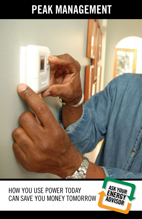# **PEAK MANAGEMENT**



HOW YOU USE POWER TODAY CAN SAVE YOU MONEY TOMORROW

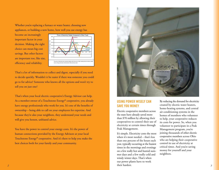Whether you're replacing a furnace or water heater, choosing new appliances, or building a new home, how well you use energy has

become an increasingly important factor in your decision. Making the right choice can mean big cost savings. But other factors are important too, like size, efficiency and reliability.



That's a lot of information to collect and digest, especially if you need to decide quickly. Wouldn't it be easier if there was someone you could go to for advice? Someone who knows all the options and won't try to sell you on just one?

That's when your local electric cooperative's Energy Advisor can help. As a member-owner of a Touchstone Energy ® cooperative, you already have energy professionals who work for you. It's one of the benefits of ownership – being able to call on your employees for expertise. And because they're also your neighbors, they understand your needs and will give you honest, unbiased advice.

You have the power to control your energy costs. It's the power of human connections provided by the Energy Advisors at your local Touchstone Energy ® cooperative. And it's there to help you make the best choices both for your family and your community.



## **USING POWER WISELY CAN SAVE YOU MONEY**

Electric cooperative members across the state have already saved more than \$70 million by allowing their cooperatives to control their use of electricity at certain times through Peak Management.

It's simple. Electricity costs the most when it's most needed - that's less than one percent of the hours each year, typically occurring at the busiest times in the mornings and evenings on a few really hot and humid summer days and a few really cold and windy winter days. That's when our power plants have to work their hardest.

By reducing the demand for electricity created by electric water heaters, home-heating systems, and central air-conditioning systems in the homes of members who volunteer to help, your cooperative reduces its costs for power. So, when you volunteer to participate in a Peak Management program, you're joining thousands of other electric cooperative members across Ohio who are helping their cooperative control its use of electricity at critical times. And you're saving money for yourself and your neighbors.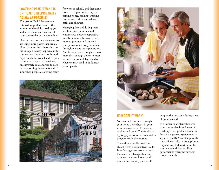## **LOWERING PEAK DEMAND IS CRITICAL TO KEEPING RATES AS LOW AS POSSIBLE**

The goal of Peak Management is to reduce peak demand – the amount of electricity used by you and all of the other members of your cooperative at the same time.

Demand peaks occur when members are using more power than usual. Now that most folks have air conditioning, it usually happens in the summer, on those very hot humid days, usually between 4 and 10 p.m. It also can happen in the winter, on extremely cold and windy days, in the mornings between 6 and 10 a.m. when people are getting ready

for work or school, and then again from 5 to 9 p.m. when they are coming home, cooking, washing clothes and dishes, and taking baths and showers.

Managing demand during these few hours each summer and winter saves electric cooperative members money, because it costs more to produce and transmit your power when everyone else in the region wants more power, too. And because, even though we have more than enough power to meet our needs now, it delays the day when we may need to build new power plants.





## **HOW DOES IT WORK?**

You can find timers all through your home these days – in your stove, microwave, coffeemaker, washer, and dryer. They're also in lighting systems for security and in programmable thermostats.

The radio-controlled switches (RCS) electric cooperatives use for Peak Management work in much the same way. Except they only turn electric water heaters and some home heating systems off

temporarily, and only during times of peak demand.

In summer or winter, whenever your cooperative is in danger of reaching a new peak demand, the Peak Management system sends a signal to the RCS and temporarily shuts off electricity to the appliances they control. It doesn't harm the equipment and doesn't affect performance when the power is turned on again.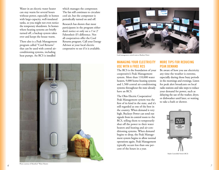Water in an electric water heater can stay warm for several hours without power, especially in homes with large-capacity, well-insulated tanks, so you might not even notice the temporary shutdown. In homes where heating systems are briefly turned off, a backup system takes over and keeps the house warm.

There also is a Peak Management program called "Cool Returns" that can be used with central airconditioning systems, including heat pumps. An RCS is installed

which manages the compressor. The fan still continues to circulate cool air, but the compressor is periodically turned on and off.

Research has shown that most participants in the program either don't notice or only see a 1º or 2º Fahrenheit (F) difference. Not all cooperatives offer the Cool Returns program. Call your Energy Advisor at your local electric cooperative to see if it is available.





Load management control room at Buckeye Power

# **MANAGING YOUR ELECTRICITY USE WITH A FREE RCS**

The RCS is the foundation of your cooperative's Peak Management system. More than 110,000 water heaters, 9,000 home-heating systems and 1,500 central air-conditioning systems throughout the state already have an RCS.

The Ohio Electric Cooperatives' Peak Management system was the first of its kind in the state, and it's still regarded as one of the best in the country. When demand is very high, Buckeye Power can send out signals from its control room to the RCS, telling them to temporarily shut off the power to their water heaters and heating and air-conditioning systems. When demand begins to drop, the Peak Management system begins to allow normal operations again. Peak Management typically occurs less than one percent of the hours in a year.

## **MORE TIPS FOR REDUCING PEAK DEMAND**

Be aware of how you use electricity any time the weather is extreme, especially during those busy periods in the mornings and evenings. Listen for peak alert broadcasts on local radio stations and take steps to reduce your demand for power, such as delaying the use of the washer, dryer, or dishwasher until later, or waiting to take a bath or shower.



Radio-Controlled Switch (RCS)

Photo courtesy of Marathon® Water Heaters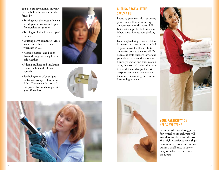You also can save money on your electric bill both now and in the future by:

- Turning your thermostat down a few degrees in winter and up a few notches in summer
- Turning off lights in unoccupied rooms
- Shutting down computers, video games and other electronics when not in use
- Keeping curtains and blinds drawn during extremely hot or cold weather
- Adding caulking and insulation where the hot and cold air come in
- Replacing some of your light bulbs with compact fluorescent lights. These use a fraction of the power, last much longer, and give off less heat





# **CUTTING BACK A LITTLE SAVES A LOT**

Reducing your electricity use during peak times will result in savings on your next month's power bill. But what you probably don't realize is how much it saves over the long term.

For example, drying a load of clothes in an electric dryer during a period of peak demand will contribute only a few cents to the next bill. But because it costs Buckeye Power and your electric cooperative more in future generation and transmission costs, that load of clothes adds more in new demand charges that will be spread among all cooperative members – including you – in the form of higher rates.





# **YOUR PARTICIPATION HELPS EVERYONE**

Saving a little now during just a few critical hours each year will save all of us a lot down the road. You might experience some slight inconvenience from time to time, but it's a small price to pay to delay or reduce rate increases in the future.

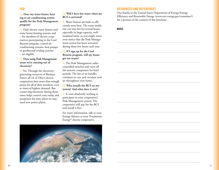Q: **Does my water heater, heating or air-conditioning system qualify for the Peak Management program?**

A: Only electric water heaters and some home-heating systems and – for members of electric cooperatives participating in the Cool Returns program, central airconditioning systems, heat pumps or geothermal cooling systems – are eligible.

#### Q: **Does using Peak Management mean we're running out of electricity?**

A: No. Through the electricitygenerating resources of Buckeye Power, all 24 of Ohio's electric cooperatives have more than enough power for all of their members, even at times of highest demand. But conserving electricity during those times helps control costs today and postpones the time when we may need new power plants.

#### Q: **Will I have hot water when my RCS is activated?**

A: Water heaters are built to efficiently store heat. The water inside one can stay hot for several hours, especially in large-capacity, wellinsulated units, so you might never even notice that the Peak Management system has been activated during those few hours each year.

#### Q: **If I sign up for the Cool Returns program, will my house get too warm?**

A: The Peak Management radiocontrolled switches only turn off the system's compressor for brief periods. The fan or air handler continues to run and circulate cool air throughout your home.

Q: **Who installs the RCS on my system? And what does it cost?**

A: It costs absolutely nothing to participate in your cooperative's Peak Management system. The cooperative will pay for the RCS and install it free.

For more information, talk to your Energy Advisor at your Touchstone Energy® electric cooperative.



### **Resources and References**

Our thanks to the United States Department of Energy/Energy Efficiency and Renewable Energy (www.eere.energy.gov/consumer/) for a portion of the content of this brochure.

#### **NOTES**